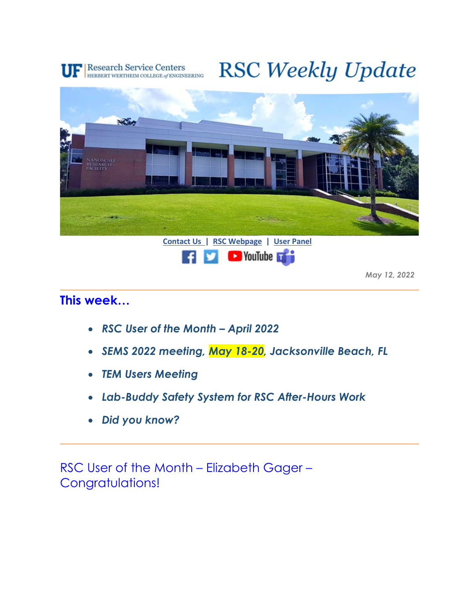

## **RSC Weekly Update**





*May 12, 2022*

## **This week…**

- *RSC User of the Month April 2022*
- *SEMS 2022 meeting, May 18-20, Jacksonville Beach, FL*
- *TEM Users Meeting*
- *Lab-Buddy Safety System for RSC After-Hours Work*
- *Did you know?*

RSC User of the Month – Elizabeth Gager – Congratulations!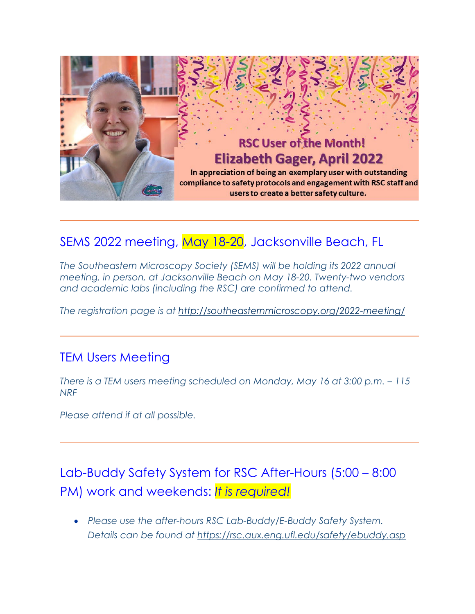

## SEMS 2022 meeting, May 18-20, Jacksonville Beach, FL

*The Southeastern Microscopy Society (SEMS) will be holding its 2022 annual meeting, in person, at Jacksonville Beach on May 18-20. Twenty-two vendors and academic labs (including the RSC) are confirmed to attend.*

*The registration page is at<http://southeasternmicroscopy.org/2022-meeting/>*

## TEM Users Meeting

*There is a TEM users meeting scheduled on Monday, May 16 at 3:00 p.m. – 115 NRF* 

*Please attend if at all possible.*

Lab-Buddy Safety System for RSC After-Hours (5:00 – 8:00 PM) work and weekends: *It is required!*

• *Please use the after-hours RSC Lab-Buddy/E-Buddy Safety System. Details can be found at<https://rsc.aux.eng.ufl.edu/safety/ebuddy.asp>*